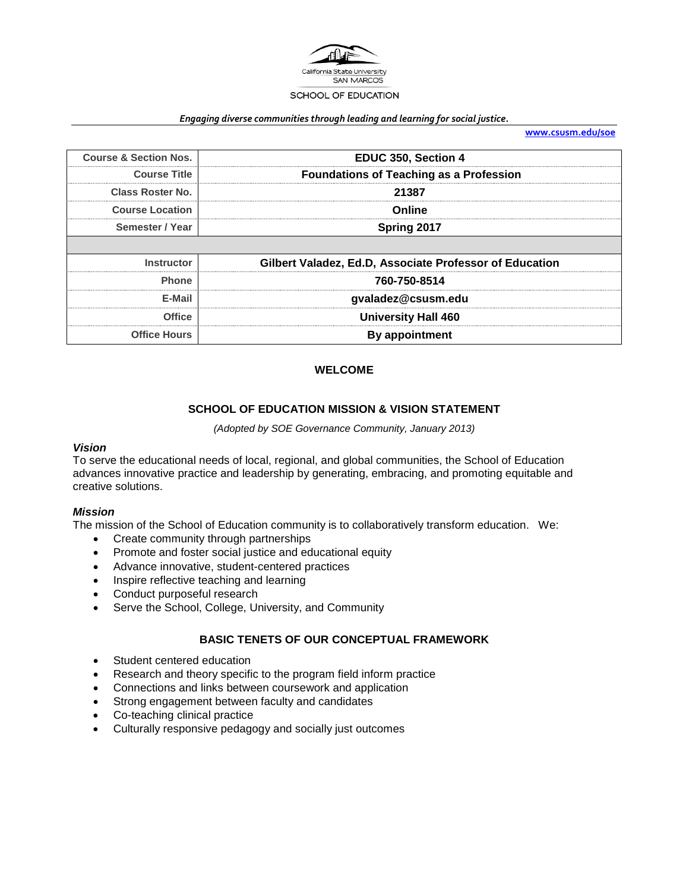

#### *Engaging diverse communities through leading and learning for social justice.*

**[www.csusm.edu/soe](http://www.csusm.edu/soe)**

| <b>Course &amp; Section Nos.</b> | EDUC 350, Section 4                                     |  |
|----------------------------------|---------------------------------------------------------|--|
| <b>Course Title</b>              | <b>Foundations of Teaching as a Profession</b>          |  |
| Class Roster No.                 | 21387                                                   |  |
| <b>Course Location</b>           | Online                                                  |  |
| Semester / Year                  | Spring 2017                                             |  |
|                                  |                                                         |  |
|                                  |                                                         |  |
| <b>Instructor</b>                | Gilbert Valadez, Ed.D, Associate Professor of Education |  |
| <b>Phone</b>                     | 760-750-8514                                            |  |
| E-Mail                           | gvaladez@csusm.edu                                      |  |
| <b>Office</b>                    | <b>University Hall 460</b>                              |  |

#### **WELCOME**

#### **SCHOOL OF EDUCATION MISSION & VISION STATEMENT**

*(Adopted by SOE Governance Community, January 2013)*

#### *Vision*

To serve the educational needs of local, regional, and global communities, the School of Education advances innovative practice and leadership by generating, embracing, and promoting equitable and creative solutions.

#### *Mission*

The mission of the School of Education community is to collaboratively transform education. We:

- Create community through partnerships
- Promote and foster social justice and educational equity
- Advance innovative, student-centered practices
- Inspire reflective teaching and learning
- Conduct purposeful research
- Serve the School, College, University, and Community

#### **BASIC TENETS OF OUR CONCEPTUAL FRAMEWORK**

- Student centered education
- Research and theory specific to the program field inform practice
- Connections and links between coursework and application
- Strong engagement between faculty and candidates
- Co-teaching clinical practice
- Culturally responsive pedagogy and socially just outcomes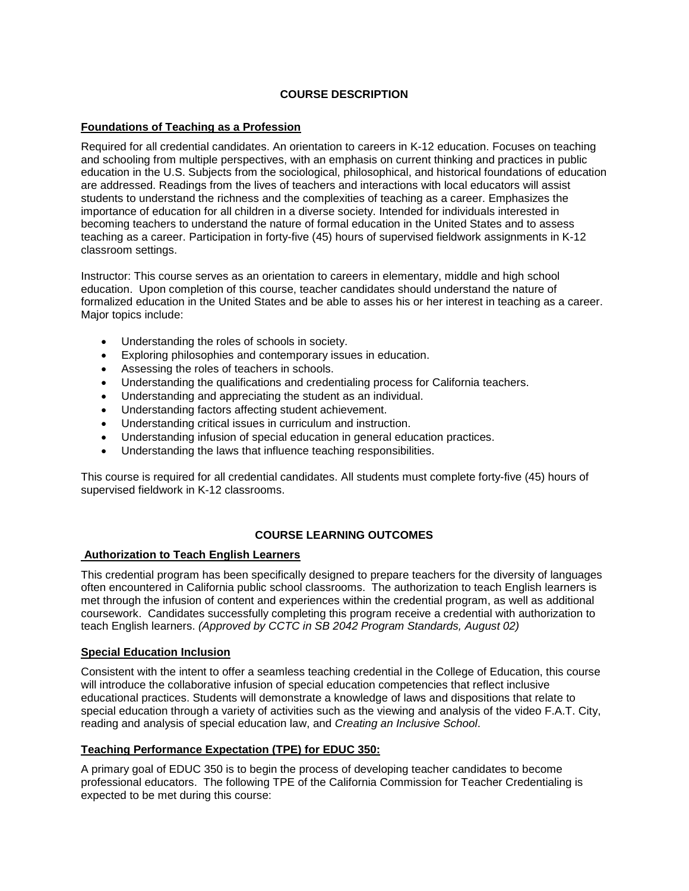## **COURSE DESCRIPTION**

#### **Foundations of Teaching as a Profession**

Required for all credential candidates. An orientation to careers in K-12 education. Focuses on teaching and schooling from multiple perspectives, with an emphasis on current thinking and practices in public education in the U.S. Subjects from the sociological, philosophical, and historical foundations of education are addressed. Readings from the lives of teachers and interactions with local educators will assist students to understand the richness and the complexities of teaching as a career. Emphasizes the importance of education for all children in a diverse society. Intended for individuals interested in becoming teachers to understand the nature of formal education in the United States and to assess teaching as a career. Participation in forty-five (45) hours of supervised fieldwork assignments in K-12 classroom settings.

Instructor: This course serves as an orientation to careers in elementary, middle and high school education. Upon completion of this course, teacher candidates should understand the nature of formalized education in the United States and be able to asses his or her interest in teaching as a career. Major topics include:

- Understanding the roles of schools in society.
- Exploring philosophies and contemporary issues in education.
- Assessing the roles of teachers in schools.
- Understanding the qualifications and credentialing process for California teachers.
- Understanding and appreciating the student as an individual.
- Understanding factors affecting student achievement.
- Understanding critical issues in curriculum and instruction.
- Understanding infusion of special education in general education practices.
- Understanding the laws that influence teaching responsibilities.

This course is required for all credential candidates. All students must complete forty-five (45) hours of supervised fieldwork in K-12 classrooms.

## **COURSE LEARNING OUTCOMES**

## **Authorization to Teach English Learners**

This credential program has been specifically designed to prepare teachers for the diversity of languages often encountered in California public school classrooms. The authorization to teach English learners is met through the infusion of content and experiences within the credential program, as well as additional coursework. Candidates successfully completing this program receive a credential with authorization to teach English learners. *(Approved by CCTC in SB 2042 Program Standards, August 02)*

## **Special Education Inclusion**

Consistent with the intent to offer a seamless teaching credential in the College of Education, this course will introduce the collaborative infusion of special education competencies that reflect inclusive educational practices. Students will demonstrate a knowledge of laws and dispositions that relate to special education through a variety of activities such as the viewing and analysis of the video F.A.T. City, reading and analysis of special education law, and *Creating an Inclusive School*.

## **Teaching Performance Expectation (TPE) for EDUC 350:**

A primary goal of EDUC 350 is to begin the process of developing teacher candidates to become professional educators. The following TPE of the California Commission for Teacher Credentialing is expected to be met during this course: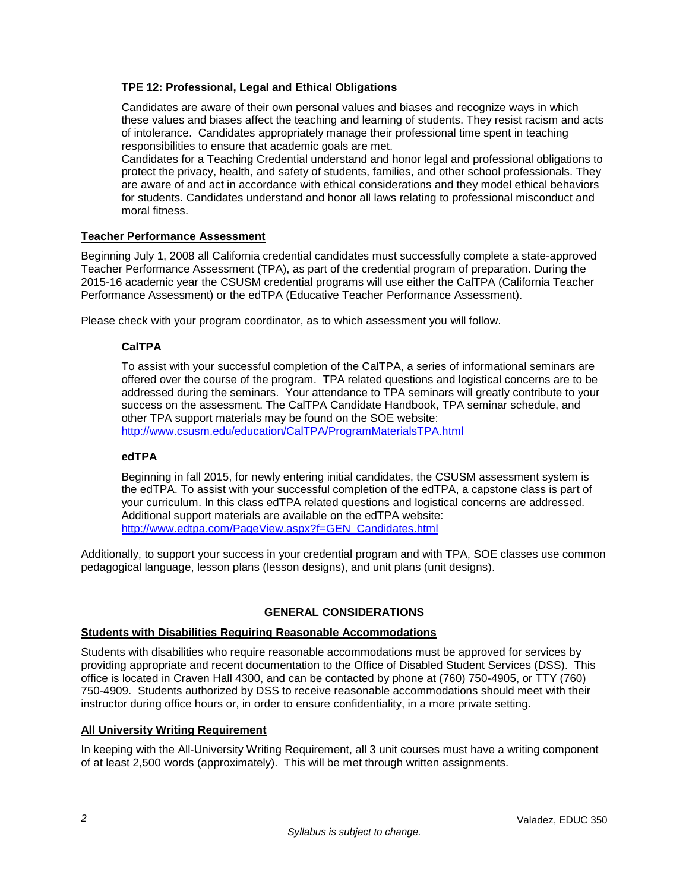## **TPE 12: Professional, Legal and Ethical Obligations**

Candidates are aware of their own personal values and biases and recognize ways in which these values and biases affect the teaching and learning of students. They resist racism and acts of intolerance. Candidates appropriately manage their professional time spent in teaching responsibilities to ensure that academic goals are met.

Candidates for a Teaching Credential understand and honor legal and professional obligations to protect the privacy, health, and safety of students, families, and other school professionals. They are aware of and act in accordance with ethical considerations and they model ethical behaviors for students. Candidates understand and honor all laws relating to professional misconduct and moral fitness.

## **Teacher Performance Assessment**

Beginning July 1, 2008 all California credential candidates must successfully complete a state-approved Teacher Performance Assessment (TPA), as part of the credential program of preparation. During the 2015-16 academic year the CSUSM credential programs will use either the CalTPA (California Teacher Performance Assessment) or the edTPA (Educative Teacher Performance Assessment).

Please check with your program coordinator, as to which assessment you will follow.

## **CalTPA**

To assist with your successful completion of the CalTPA, a series of informational seminars are offered over the course of the program. TPA related questions and logistical concerns are to be addressed during the seminars. Your attendance to TPA seminars will greatly contribute to your success on the assessment. The CalTPA Candidate Handbook, TPA seminar schedule, and other TPA support materials may be found on the SOE website: <http://www.csusm.edu/education/CalTPA/ProgramMaterialsTPA.html>

## **edTPA**

Beginning in fall 2015, for newly entering initial candidates, the CSUSM assessment system is the edTPA. To assist with your successful completion of the edTPA, a capstone class is part of your curriculum. In this class edTPA related questions and logistical concerns are addressed. Additional support materials are available on the edTPA website: [http://www.edtpa.com/PageView.aspx?f=GEN\\_Candidates.html](http://www.edtpa.com/PageView.aspx?f=GEN_Candidates.html)

Additionally, to support your success in your credential program and with TPA, SOE classes use common pedagogical language, lesson plans (lesson designs), and unit plans (unit designs).

## **GENERAL CONSIDERATIONS**

#### **Students with Disabilities Requiring Reasonable Accommodations**

Students with disabilities who require reasonable accommodations must be approved for services by providing appropriate and recent documentation to the Office of Disabled Student Services (DSS). This office is located in Craven Hall 4300, and can be contacted by phone at (760) 750-4905, or TTY (760) 750-4909. Students authorized by DSS to receive reasonable accommodations should meet with their instructor during office hours or, in order to ensure confidentiality, in a more private setting.

## **All University Writing Requirement**

In keeping with the All-University Writing Requirement, all 3 unit courses must have a writing component of at least 2,500 words (approximately). This will be met through written assignments.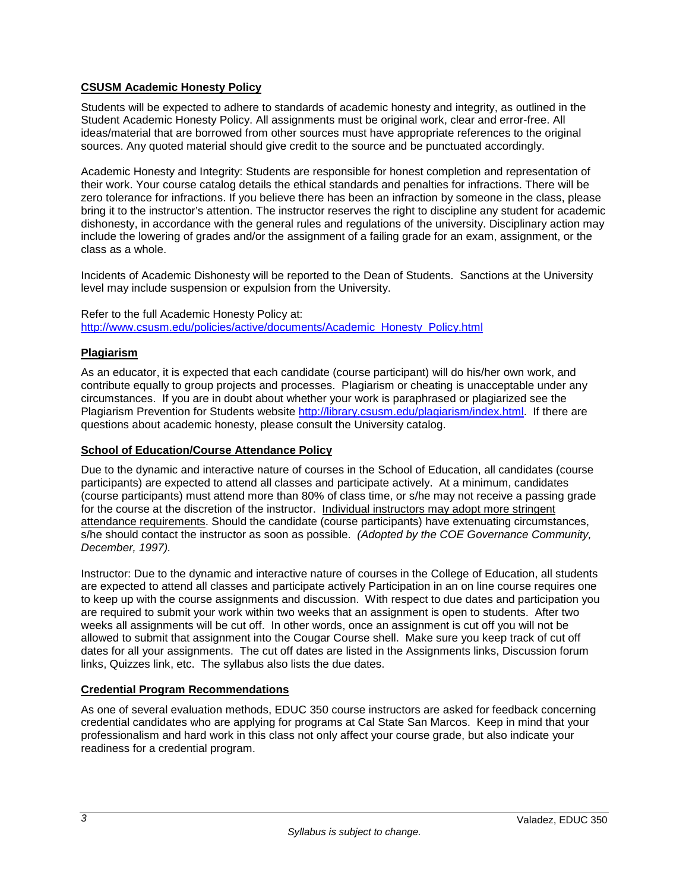## **CSUSM Academic Honesty Policy**

Students will be expected to adhere to standards of academic honesty and integrity, as outlined in the Student Academic Honesty Policy. All assignments must be original work, clear and error-free. All ideas/material that are borrowed from other sources must have appropriate references to the original sources. Any quoted material should give credit to the source and be punctuated accordingly.

Academic Honesty and Integrity: Students are responsible for honest completion and representation of their work. Your course catalog details the ethical standards and penalties for infractions. There will be zero tolerance for infractions. If you believe there has been an infraction by someone in the class, please bring it to the instructor's attention. The instructor reserves the right to discipline any student for academic dishonesty, in accordance with the general rules and regulations of the university. Disciplinary action may include the lowering of grades and/or the assignment of a failing grade for an exam, assignment, or the class as a whole.

Incidents of Academic Dishonesty will be reported to the Dean of Students. Sanctions at the University level may include suspension or expulsion from the University.

Refer to the full Academic Honesty Policy at: [http://www.csusm.edu/policies/active/documents/Academic\\_Honesty\\_Policy.html](http://www.csusm.edu/policies/active/documents/Academic_Honesty_Policy.html)

## **Plagiarism**

As an educator, it is expected that each candidate (course participant) will do his/her own work, and contribute equally to group projects and processes. Plagiarism or cheating is unacceptable under any circumstances. If you are in doubt about whether your work is paraphrased or plagiarized see the Plagiarism Prevention for Students website [http://library.csusm.edu/plagiarism/index.html.](http://library.csusm.edu/plagiarism/index.html) If there are questions about academic honesty, please consult the University catalog.

## **School of Education/Course Attendance Policy**

Due to the dynamic and interactive nature of courses in the School of Education, all candidates (course participants) are expected to attend all classes and participate actively. At a minimum, candidates (course participants) must attend more than 80% of class time, or s/he may not receive a passing grade for the course at the discretion of the instructor. Individual instructors may adopt more stringent attendance requirements. Should the candidate (course participants) have extenuating circumstances, s/he should contact the instructor as soon as possible. *(Adopted by the COE Governance Community, December, 1997).*

Instructor: Due to the dynamic and interactive nature of courses in the College of Education, all students are expected to attend all classes and participate actively Participation in an on line course requires one to keep up with the course assignments and discussion. With respect to due dates and participation you are required to submit your work within two weeks that an assignment is open to students. After two weeks all assignments will be cut off. In other words, once an assignment is cut off you will not be allowed to submit that assignment into the Cougar Course shell. Make sure you keep track of cut off dates for all your assignments. The cut off dates are listed in the Assignments links, Discussion forum links, Quizzes link, etc. The syllabus also lists the due dates.

## **Credential Program Recommendations**

As one of several evaluation methods, EDUC 350 course instructors are asked for feedback concerning credential candidates who are applying for programs at Cal State San Marcos. Keep in mind that your professionalism and hard work in this class not only affect your course grade, but also indicate your readiness for a credential program.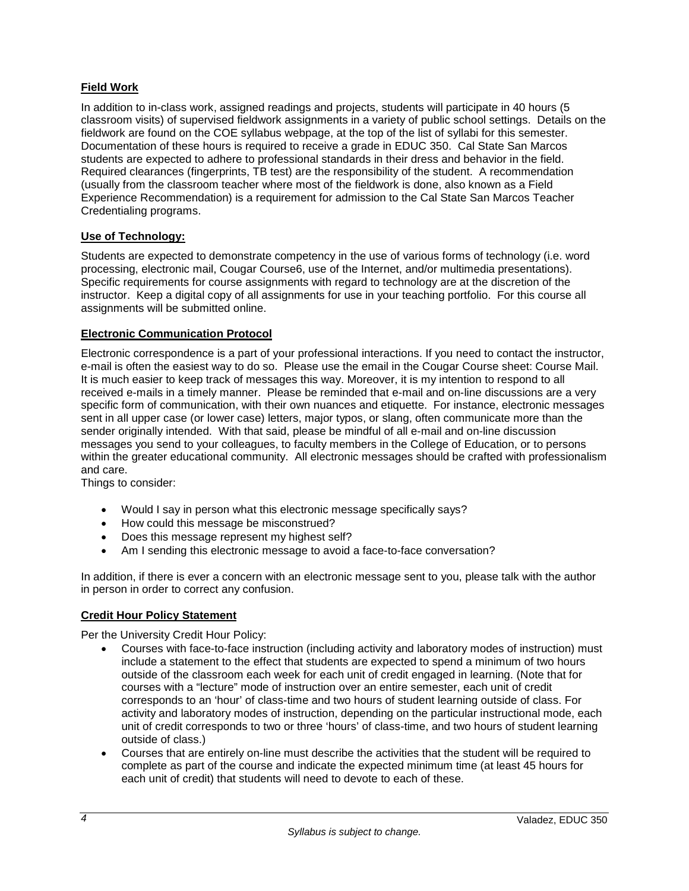## **Field Work**

In addition to in-class work, assigned readings and projects, students will participate in 40 hours (5 classroom visits) of supervised fieldwork assignments in a variety of public school settings. Details on the fieldwork are found on the COE syllabus webpage, at the top of the list of syllabi for this semester. Documentation of these hours is required to receive a grade in EDUC 350. Cal State San Marcos students are expected to adhere to professional standards in their dress and behavior in the field. Required clearances (fingerprints, TB test) are the responsibility of the student. A recommendation (usually from the classroom teacher where most of the fieldwork is done, also known as a Field Experience Recommendation) is a requirement for admission to the Cal State San Marcos Teacher Credentialing programs.

## **Use of Technology:**

Students are expected to demonstrate competency in the use of various forms of technology (i.e. word processing, electronic mail, Cougar Course6, use of the Internet, and/or multimedia presentations). Specific requirements for course assignments with regard to technology are at the discretion of the instructor. Keep a digital copy of all assignments for use in your teaching portfolio. For this course all assignments will be submitted online.

## **Electronic Communication Protocol**

Electronic correspondence is a part of your professional interactions. If you need to contact the instructor, e-mail is often the easiest way to do so. Please use the email in the Cougar Course sheet: Course Mail. It is much easier to keep track of messages this way. Moreover, it is my intention to respond to all received e-mails in a timely manner. Please be reminded that e-mail and on-line discussions are a very specific form of communication, with their own nuances and etiquette. For instance, electronic messages sent in all upper case (or lower case) letters, major typos, or slang, often communicate more than the sender originally intended. With that said, please be mindful of all e-mail and on-line discussion messages you send to your colleagues, to faculty members in the College of Education, or to persons within the greater educational community. All electronic messages should be crafted with professionalism and care.

Things to consider:

- Would I say in person what this electronic message specifically says?
- How could this message be misconstrued?
- Does this message represent my highest self?
- Am I sending this electronic message to avoid a face-to-face conversation?

In addition, if there is ever a concern with an electronic message sent to you, please talk with the author in person in order to correct any confusion.

## **Credit Hour Policy Statement**

Per the University Credit Hour Policy:

- Courses with face-to-face instruction (including activity and laboratory modes of instruction) must include a statement to the effect that students are expected to spend a minimum of two hours outside of the classroom each week for each unit of credit engaged in learning. (Note that for courses with a "lecture" mode of instruction over an entire semester, each unit of credit corresponds to an 'hour' of class-time and two hours of student learning outside of class. For activity and laboratory modes of instruction, depending on the particular instructional mode, each unit of credit corresponds to two or three 'hours' of class-time, and two hours of student learning outside of class.)
- Courses that are entirely on-line must describe the activities that the student will be required to complete as part of the course and indicate the expected minimum time (at least 45 hours for each unit of credit) that students will need to devote to each of these.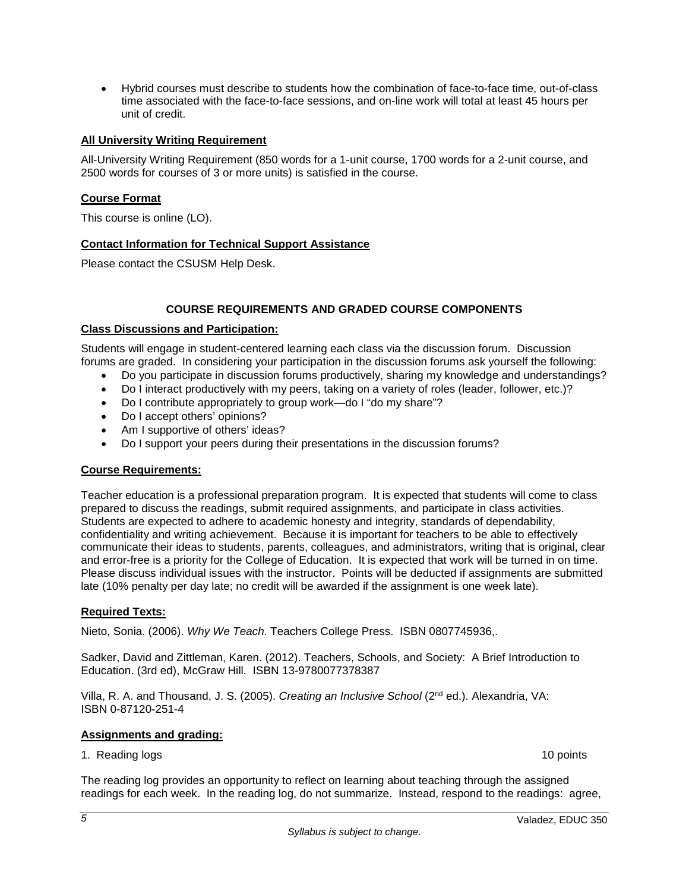• Hybrid courses must describe to students how the combination of face-to-face time, out-of-class time associated with the face-to-face sessions, and on-line work will total at least 45 hours per unit of credit.

## **All University Writing Requirement**

All-University Writing Requirement (850 words for a 1-unit course, 1700 words for a 2-unit course, and 2500 words for courses of 3 or more units) is satisfied in the course.

## **Course Format**

This course is online (LO).

## **Contact Information for Technical Support Assistance**

Please contact the CSUSM Help Desk.

#### **COURSE REQUIREMENTS AND GRADED COURSE COMPONENTS**

#### **Class Discussions and Participation:**

Students will engage in student-centered learning each class via the discussion forum. Discussion forums are graded. In considering your participation in the discussion forums ask yourself the following:

- Do you participate in discussion forums productively, sharing my knowledge and understandings?
- Do I interact productively with my peers, taking on a variety of roles (leader, follower, etc.)?
- Do I contribute appropriately to group work—do I "do my share"?
- Do I accept others' opinions?
- Am I supportive of others' ideas?
- Do I support your peers during their presentations in the discussion forums?

#### **Course Requirements:**

Teacher education is a professional preparation program. It is expected that students will come to class prepared to discuss the readings, submit required assignments, and participate in class activities. Students are expected to adhere to academic honesty and integrity, standards of dependability, confidentiality and writing achievement. Because it is important for teachers to be able to effectively communicate their ideas to students, parents, colleagues, and administrators, writing that is original, clear and error-free is a priority for the College of Education. It is expected that work will be turned in on time. Please discuss individual issues with the instructor. Points will be deducted if assignments are submitted late (10% penalty per day late; no credit will be awarded if the assignment is one week late).

#### **Required Texts:**

Nieto, Sonia. (2006). *Why We Teach*. Teachers College Press. ISBN 0807745936,.

Sadker, David and Zittleman, Karen. (2012). Teachers, Schools, and Society: A Brief Introduction to Education. (3rd ed), McGraw Hill. ISBN 13-9780077378387

Villa, R. A. and Thousand, J. S. (2005). *Creating an Inclusive School* (2nd ed.). Alexandria, VA: ISBN 0-87120-251-4

#### **Assignments and grading:**

1. Reading logs 10 points 10 points 10 points 10 points 10 points 10 points 10 points 10 points 10 points 10 points 10 points 10 points 10 points 10 points 10 points 10 points 10 points 10 points 10 points 10 points 10 poi

The reading log provides an opportunity to reflect on learning about teaching through the assigned readings for each week. In the reading log, do not summarize. Instead, respond to the readings: agree,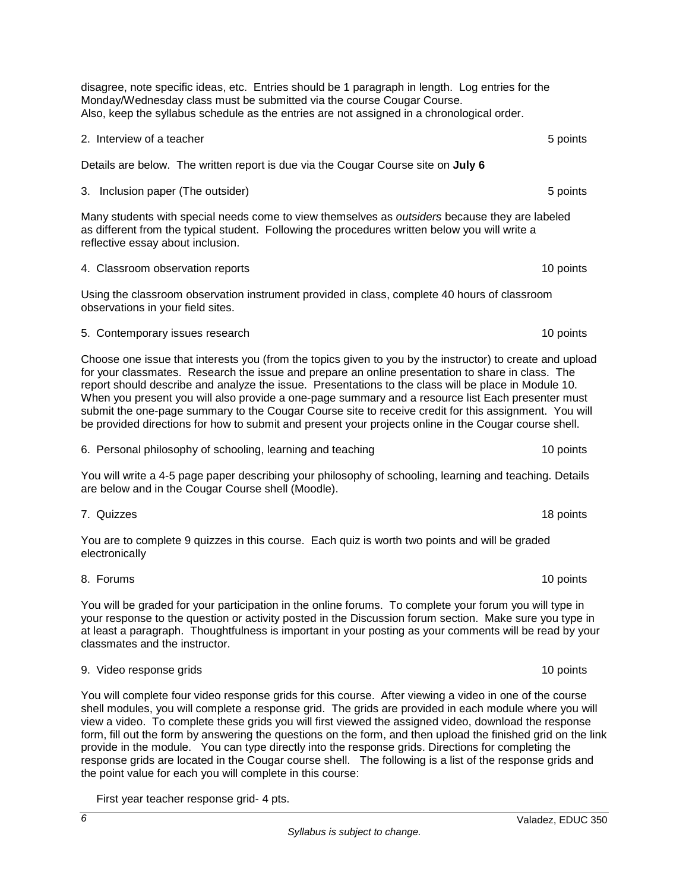*Syllabus is subject to change.*

disagree, note specific ideas, etc. Entries should be 1 paragraph in length. Log entries for the Monday/Wednesday class must be submitted via the course Cougar Course. Also, keep the syllabus schedule as the entries are not assigned in a chronological order.

#### 2. Interview of a teacher **5** points **2.** Interview of a teacher **5** points **5** points

Details are below. The written report is due via the Cougar Course site on **July 6**

#### 3. Inclusion paper (The outsider) 6 points of the outsider of the outside of the outside of the outside of the outside of the outside of the outside of the outside of the outside of the outside of the outside of the outsid

Many students with special needs come to view themselves as *outsiders* because they are labeled as different from the typical student. Following the procedures written below you will write a reflective essay about inclusion.

# A. Classroom observation reports 10 points 10 points 10 points 10 points 10 points 10 points 10 points 10 points 10 points 10 points 10 points 10 points 10 points 10 points 10 points 10 points 10 points 10 points 10 points

Using the classroom observation instrument provided in class, complete 40 hours of classroom observations in your field sites.

#### 5. Contemporary issues research 10 points and the state of the state of the state of the state of the state of the state of the state of the state of the state of the state of the state of the state of the state of the sta

Choose one issue that interests you (from the topics given to you by the instructor) to create and upload for your classmates. Research the issue and prepare an online presentation to share in class. The report should describe and analyze the issue. Presentations to the class will be place in Module 10. When you present you will also provide a one-page summary and a resource list Each presenter must submit the one-page summary to the Cougar Course site to receive credit for this assignment. You will be provided directions for how to submit and present your projects online in the Cougar course shell.

6. Personal philosophy of schooling, learning and teaching 10 points 10 points

You will write a 4-5 page paper describing your philosophy of schooling, learning and teaching. Details are below and in the Cougar Course shell (Moodle).

7. Quizzes 18 points You are to complete 9 quizzes in this course. Each quiz is worth two points and will be graded

8. Forums 10 points

electronically

You will be graded for your participation in the online forums. To complete your forum you will type in your response to the question or activity posted in the Discussion forum section. Make sure you type in at least a paragraph. Thoughtfulness is important in your posting as your comments will be read by your classmates and the instructor.

#### 9. Video response grids 10 points

You will complete four video response grids for this course. After viewing a video in one of the course shell modules, you will complete a response grid. The grids are provided in each module where you will view a video. To complete these grids you will first viewed the assigned video, download the response form, fill out the form by answering the questions on the form, and then upload the finished grid on the link provide in the module. You can type directly into the response grids. Directions for completing the response grids are located in the Cougar course shell. The following is a list of the response grids and the point value for each you will complete in this course:

First year teacher response grid- 4 pts.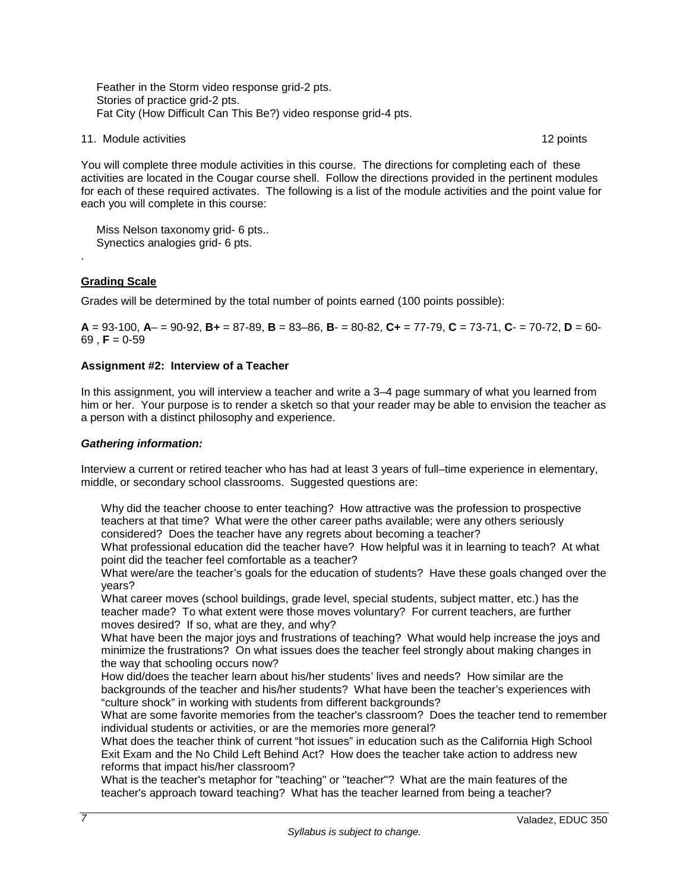Feather in the Storm video response grid-2 pts. Stories of practice grid-2 pts. Fat City (How Difficult Can This Be?) video response grid-4 pts.

11. Module activities **12** points 12 points 12 points 12 points 12 points 12 points 12 points 12 points 12 points 12 points 12 points 12 points 12 points 12 points 12 points 12 points 12 points 12 points 12 points 12 point

You will complete three module activities in this course. The directions for completing each of these activities are located in the Cougar course shell. Follow the directions provided in the pertinent modules for each of these required activates. The following is a list of the module activities and the point value for each you will complete in this course:

 Miss Nelson taxonomy grid- 6 pts.. Synectics analogies grid- 6 pts.

## **Grading Scale**

.

Grades will be determined by the total number of points earned (100 points possible):

**A** = 93-100, **A**– = 90-92, **B+** = 87-89, **B** = 83–86, **B**- = 80-82, **C+** = 77-79, **C** = 73-71, **C**- = 70-72, **D** = 60-  $69$ , **F** = 0-59

## **Assignment #2: Interview of a Teacher**

In this assignment, you will interview a teacher and write a 3–4 page summary of what you learned from him or her. Your purpose is to render a sketch so that your reader may be able to envision the teacher as a person with a distinct philosophy and experience.

## *Gathering information:*

Interview a current or retired teacher who has had at least 3 years of full–time experience in elementary, middle, or secondary school classrooms. Suggested questions are:

Why did the teacher choose to enter teaching? How attractive was the profession to prospective teachers at that time? What were the other career paths available; were any others seriously considered? Does the teacher have any regrets about becoming a teacher?

What professional education did the teacher have? How helpful was it in learning to teach? At what point did the teacher feel comfortable as a teacher?

What were/are the teacher's goals for the education of students? Have these goals changed over the years?

What career moves (school buildings, grade level, special students, subject matter, etc.) has the teacher made? To what extent were those moves voluntary? For current teachers, are further moves desired? If so, what are they, and why?

What have been the major joys and frustrations of teaching? What would help increase the joys and minimize the frustrations? On what issues does the teacher feel strongly about making changes in the way that schooling occurs now?

How did/does the teacher learn about his/her students' lives and needs? How similar are the backgrounds of the teacher and his/her students? What have been the teacher's experiences with "culture shock" in working with students from different backgrounds?

What are some favorite memories from the teacher's classroom? Does the teacher tend to remember individual students or activities, or are the memories more general?

What does the teacher think of current "hot issues" in education such as the California High School Exit Exam and the No Child Left Behind Act? How does the teacher take action to address new reforms that impact his/her classroom?

What is the teacher's metaphor for "teaching" or "teacher"? What are the main features of the teacher's approach toward teaching? What has the teacher learned from being a teacher?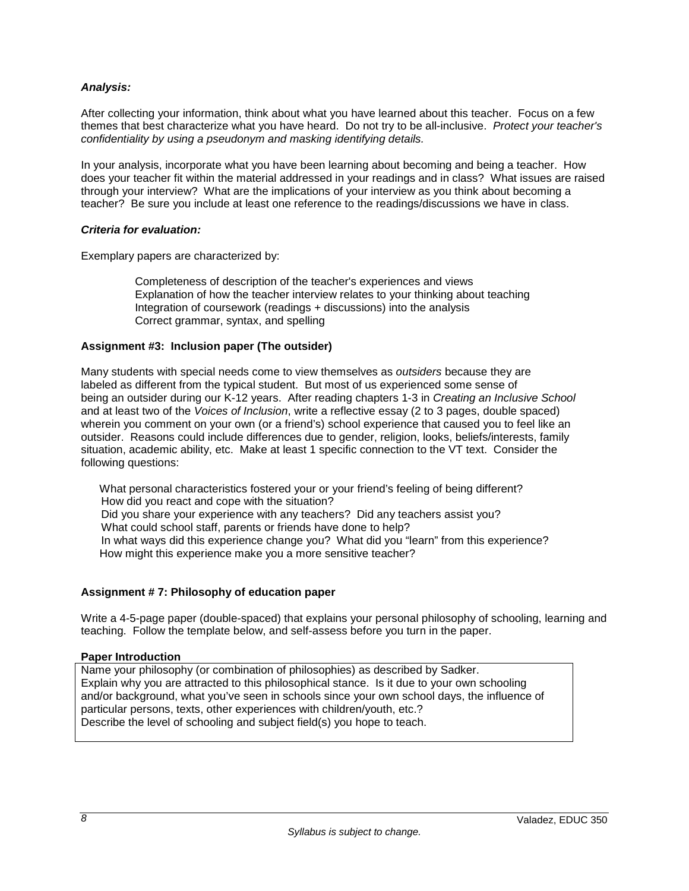## *Analysis:*

After collecting your information, think about what you have learned about this teacher. Focus on a few themes that best characterize what you have heard. Do not try to be all-inclusive. *Protect your teacher's confidentiality by using a pseudonym and masking identifying details.*

In your analysis, incorporate what you have been learning about becoming and being a teacher. How does your teacher fit within the material addressed in your readings and in class? What issues are raised through your interview? What are the implications of your interview as you think about becoming a teacher? Be sure you include at least one reference to the readings/discussions we have in class.

#### *Criteria for evaluation:*

Exemplary papers are characterized by:

Completeness of description of the teacher's experiences and views Explanation of how the teacher interview relates to your thinking about teaching Integration of coursework (readings + discussions) into the analysis Correct grammar, syntax, and spelling

## **Assignment #3: Inclusion paper (The outsider)**

Many students with special needs come to view themselves as *outsiders* because they are labeled as different from the typical student. But most of us experienced some sense of being an outsider during our K-12 years. After reading chapters 1-3 in *Creating an Inclusive School* and at least two of the *Voices of Inclusion*, write a reflective essay (2 to 3 pages, double spaced) wherein you comment on your own (or a friend's) school experience that caused you to feel like an outsider. Reasons could include differences due to gender, religion, looks, beliefs/interests, family situation, academic ability, etc. Make at least 1 specific connection to the VT text. Consider the following questions:

What personal characteristics fostered your or your friend's feeling of being different? How did you react and cope with the situation? Did you share your experience with any teachers? Did any teachers assist you? What could school staff, parents or friends have done to help? In what ways did this experience change you? What did you "learn" from this experience? How might this experience make you a more sensitive teacher?

## **Assignment # 7: Philosophy of education paper**

Write a 4-5-page paper (double-spaced) that explains your personal philosophy of schooling, learning and teaching. Follow the template below, and self-assess before you turn in the paper.

#### **Paper Introduction**

Name your philosophy (or combination of philosophies) as described by Sadker. Explain why you are attracted to this philosophical stance. Is it due to your own schooling and/or background, what you've seen in schools since your own school days, the influence of particular persons, texts, other experiences with children/youth, etc.? Describe the level of schooling and subject field(s) you hope to teach.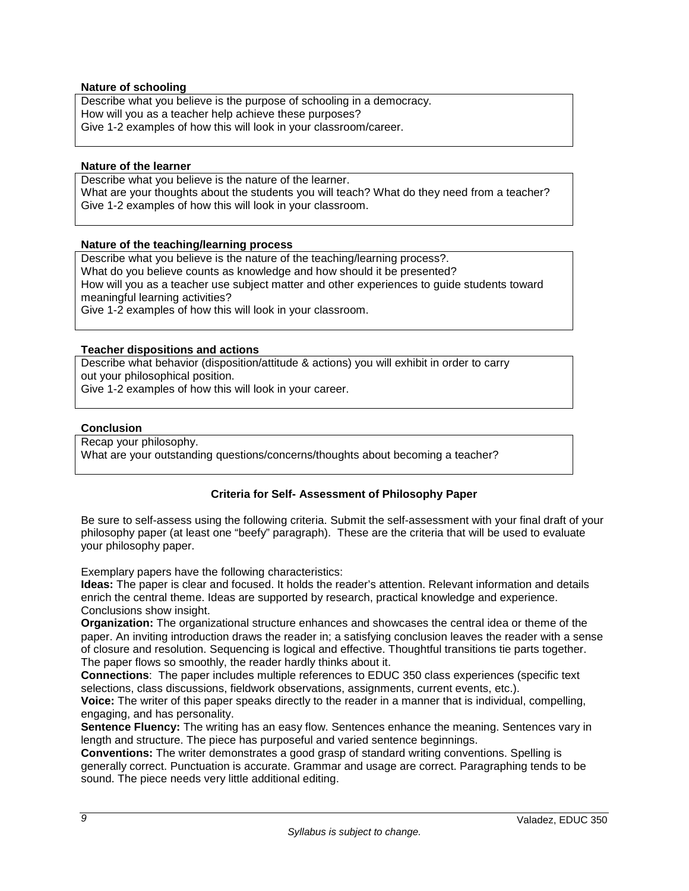#### **Nature of schooling**

Describe what you believe is the purpose of schooling in a democracy. How will you as a teacher help achieve these purposes? Give 1-2 examples of how this will look in your classroom/career.

#### **Nature of the learner**

Describe what you believe is the nature of the learner. What are your thoughts about the students you will teach? What do they need from a teacher? Give 1-2 examples of how this will look in your classroom.

#### **Nature of the teaching/learning process**

Describe what you believe is the nature of the teaching/learning process?. What do you believe counts as knowledge and how should it be presented? How will you as a teacher use subject matter and other experiences to guide students toward meaningful learning activities? Give 1-2 examples of how this will look in your classroom.

#### **Teacher dispositions and actions**

Describe what behavior (disposition/attitude & actions) you will exhibit in order to carry out your philosophical position.

Give 1-2 examples of how this will look in your career.

#### **Conclusion**

Recap your philosophy. What are your outstanding questions/concerns/thoughts about becoming a teacher?

#### **Criteria for Self- Assessment of Philosophy Paper**

Be sure to self-assess using the following criteria. Submit the self-assessment with your final draft of your philosophy paper (at least one "beefy" paragraph). These are the criteria that will be used to evaluate your philosophy paper.

Exemplary papers have the following characteristics:

**Ideas:** The paper is clear and focused. It holds the reader's attention. Relevant information and details enrich the central theme. Ideas are supported by research, practical knowledge and experience. Conclusions show insight.

**Organization:** The organizational structure enhances and showcases the central idea or theme of the paper. An inviting introduction draws the reader in; a satisfying conclusion leaves the reader with a sense of closure and resolution. Sequencing is logical and effective. Thoughtful transitions tie parts together. The paper flows so smoothly, the reader hardly thinks about it.

**Connections**: The paper includes multiple references to EDUC 350 class experiences (specific text selections, class discussions, fieldwork observations, assignments, current events, etc.).

**Voice:** The writer of this paper speaks directly to the reader in a manner that is individual, compelling, engaging, and has personality.

**Sentence Fluency:** The writing has an easy flow. Sentences enhance the meaning. Sentences vary in length and structure. The piece has purposeful and varied sentence beginnings.

**Conventions:** The writer demonstrates a good grasp of standard writing conventions. Spelling is generally correct. Punctuation is accurate. Grammar and usage are correct. Paragraphing tends to be sound. The piece needs very little additional editing.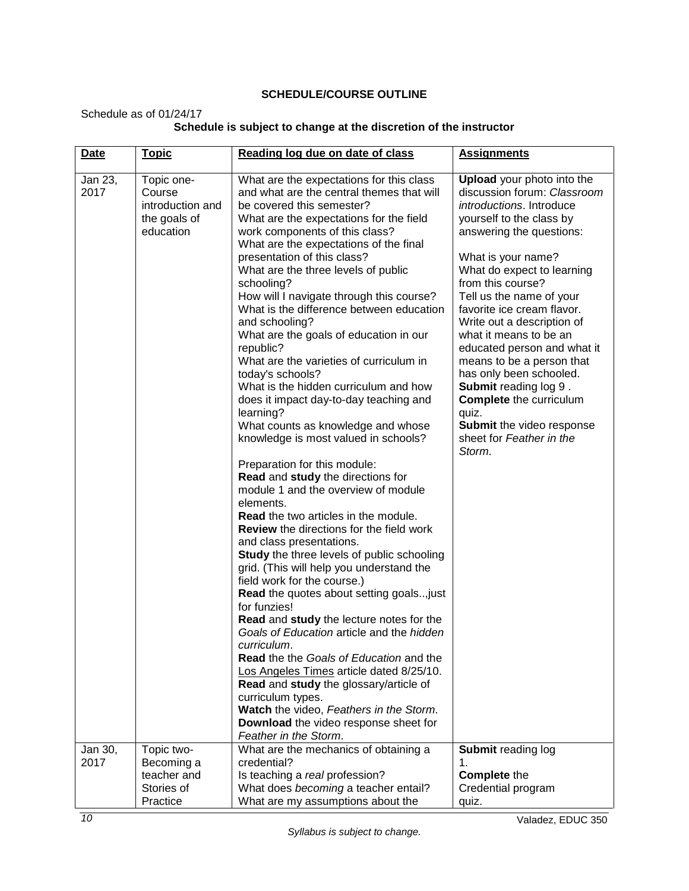## **SCHEDULE/COURSE OUTLINE**

Schedule as of 01/24/17

| <b>Date</b>     | <b>Topic</b>                                                          | Reading log due on date of class                                                                                                                                                                                                                                                                                                                                                                                                                                                                                                                                                                                                                                                                                                                                                                                                                                                                                                                                                                                                                                                                                                                                                                                                                                                                                                                                                                                                                                                                                                                  | <b>Assignments</b>                                                                                                                                                                                                                                                                                                                                                                                                                                                                                                                                                                   |
|-----------------|-----------------------------------------------------------------------|---------------------------------------------------------------------------------------------------------------------------------------------------------------------------------------------------------------------------------------------------------------------------------------------------------------------------------------------------------------------------------------------------------------------------------------------------------------------------------------------------------------------------------------------------------------------------------------------------------------------------------------------------------------------------------------------------------------------------------------------------------------------------------------------------------------------------------------------------------------------------------------------------------------------------------------------------------------------------------------------------------------------------------------------------------------------------------------------------------------------------------------------------------------------------------------------------------------------------------------------------------------------------------------------------------------------------------------------------------------------------------------------------------------------------------------------------------------------------------------------------------------------------------------------------|--------------------------------------------------------------------------------------------------------------------------------------------------------------------------------------------------------------------------------------------------------------------------------------------------------------------------------------------------------------------------------------------------------------------------------------------------------------------------------------------------------------------------------------------------------------------------------------|
|                 |                                                                       |                                                                                                                                                                                                                                                                                                                                                                                                                                                                                                                                                                                                                                                                                                                                                                                                                                                                                                                                                                                                                                                                                                                                                                                                                                                                                                                                                                                                                                                                                                                                                   |                                                                                                                                                                                                                                                                                                                                                                                                                                                                                                                                                                                      |
| Jan 23,<br>2017 | Topic one-<br>Course<br>introduction and<br>the goals of<br>education | What are the expectations for this class<br>and what are the central themes that will<br>be covered this semester?<br>What are the expectations for the field<br>work components of this class?<br>What are the expectations of the final<br>presentation of this class?<br>What are the three levels of public<br>schooling?<br>How will I navigate through this course?<br>What is the difference between education<br>and schooling?<br>What are the goals of education in our<br>republic?<br>What are the varieties of curriculum in<br>today's schools?<br>What is the hidden curriculum and how<br>does it impact day-to-day teaching and<br>learning?<br>What counts as knowledge and whose<br>knowledge is most valued in schools?<br>Preparation for this module:<br>Read and study the directions for<br>module 1 and the overview of module<br>elements.<br><b>Read</b> the two articles in the module.<br><b>Review</b> the directions for the field work<br>and class presentations.<br><b>Study</b> the three levels of public schooling<br>grid. (This will help you understand the<br>field work for the course.)<br>Read the quotes about setting goals, just<br>for funzies!<br>Read and study the lecture notes for the<br>Goals of Education article and the hidden<br>curriculum.<br>Read the the Goals of Education and the<br>Los Angeles Times article dated 8/25/10.<br>Read and study the glossary/article of<br>curriculum types.<br>Watch the video, Feathers in the Storm.<br>Download the video response sheet for | <b>Upload</b> your photo into the<br>discussion forum: Classroom<br>introductions. Introduce<br>yourself to the class by<br>answering the questions:<br>What is your name?<br>What do expect to learning<br>from this course?<br>Tell us the name of your<br>favorite ice cream flavor.<br>Write out a description of<br>what it means to be an<br>educated person and what it<br>means to be a person that<br>has only been schooled.<br><b>Submit reading log 9.</b><br><b>Complete</b> the curriculum<br>quiz.<br>Submit the video response<br>sheet for Feather in the<br>Storm. |
|                 |                                                                       | Feather in the Storm.                                                                                                                                                                                                                                                                                                                                                                                                                                                                                                                                                                                                                                                                                                                                                                                                                                                                                                                                                                                                                                                                                                                                                                                                                                                                                                                                                                                                                                                                                                                             |                                                                                                                                                                                                                                                                                                                                                                                                                                                                                                                                                                                      |
| Jan 30,         | Topic two-                                                            | What are the mechanics of obtaining a                                                                                                                                                                                                                                                                                                                                                                                                                                                                                                                                                                                                                                                                                                                                                                                                                                                                                                                                                                                                                                                                                                                                                                                                                                                                                                                                                                                                                                                                                                             | Submit reading log                                                                                                                                                                                                                                                                                                                                                                                                                                                                                                                                                                   |
| 2017            | Becoming a                                                            | credential?                                                                                                                                                                                                                                                                                                                                                                                                                                                                                                                                                                                                                                                                                                                                                                                                                                                                                                                                                                                                                                                                                                                                                                                                                                                                                                                                                                                                                                                                                                                                       | 1.                                                                                                                                                                                                                                                                                                                                                                                                                                                                                                                                                                                   |
|                 | teacher and                                                           | Is teaching a real profession?<br>What does becoming a teacher entail?                                                                                                                                                                                                                                                                                                                                                                                                                                                                                                                                                                                                                                                                                                                                                                                                                                                                                                                                                                                                                                                                                                                                                                                                                                                                                                                                                                                                                                                                            | <b>Complete the</b>                                                                                                                                                                                                                                                                                                                                                                                                                                                                                                                                                                  |
|                 | Stories of<br>Practice                                                | What are my assumptions about the                                                                                                                                                                                                                                                                                                                                                                                                                                                                                                                                                                                                                                                                                                                                                                                                                                                                                                                                                                                                                                                                                                                                                                                                                                                                                                                                                                                                                                                                                                                 | Credential program<br>quiz.                                                                                                                                                                                                                                                                                                                                                                                                                                                                                                                                                          |

## **Schedule is subject to change at the discretion of the instructor**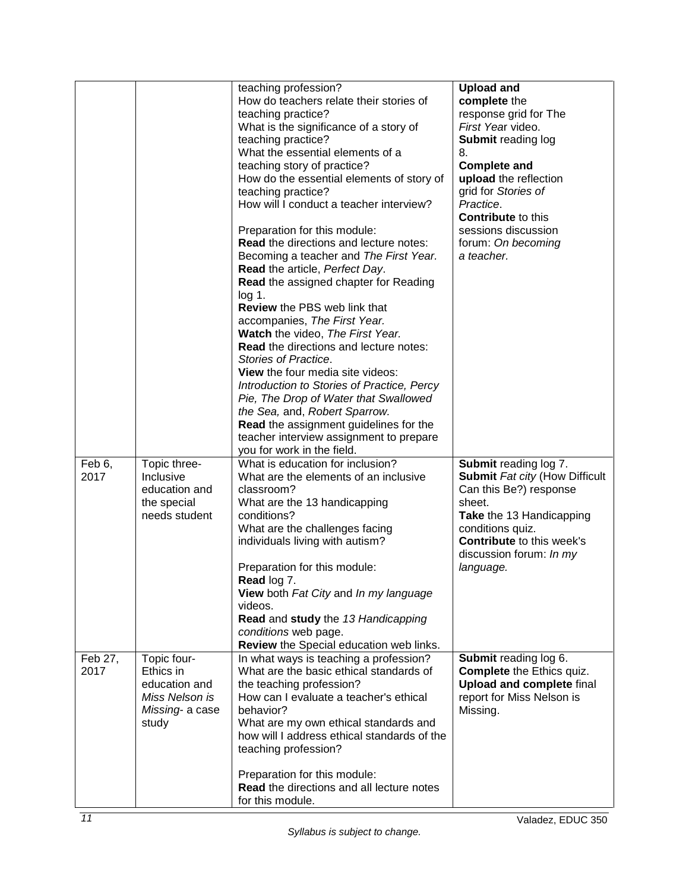|                 |                                                                                         | teaching profession?<br>How do teachers relate their stories of<br>teaching practice?<br>What is the significance of a story of<br>teaching practice?<br>What the essential elements of a<br>teaching story of practice?<br>How do the essential elements of story of<br>teaching practice?<br>How will I conduct a teacher interview?<br>Preparation for this module:<br><b>Read the directions and lecture notes:</b><br>Becoming a teacher and The First Year.<br>Read the article, Perfect Day.<br><b>Read the assigned chapter for Reading</b><br>$log 1$ .<br><b>Review the PBS web link that</b><br>accompanies, The First Year.<br>Watch the video, The First Year.<br>Read the directions and lecture notes:<br>Stories of Practice.<br>View the four media site videos:<br>Introduction to Stories of Practice, Percy<br>Pie, The Drop of Water that Swallowed<br>the Sea, and, Robert Sparrow.<br><b>Read</b> the assignment guidelines for the<br>teacher interview assignment to prepare | <b>Upload and</b><br>complete the<br>response grid for The<br>First Year video.<br><b>Submit reading log</b><br>8.<br><b>Complete and</b><br>upload the reflection<br>grid for Stories of<br>Practice.<br><b>Contribute to this</b><br>sessions discussion<br>forum: On becoming<br>a teacher. |
|-----------------|-----------------------------------------------------------------------------------------|-------------------------------------------------------------------------------------------------------------------------------------------------------------------------------------------------------------------------------------------------------------------------------------------------------------------------------------------------------------------------------------------------------------------------------------------------------------------------------------------------------------------------------------------------------------------------------------------------------------------------------------------------------------------------------------------------------------------------------------------------------------------------------------------------------------------------------------------------------------------------------------------------------------------------------------------------------------------------------------------------------|------------------------------------------------------------------------------------------------------------------------------------------------------------------------------------------------------------------------------------------------------------------------------------------------|
| Feb 6,<br>2017  | Topic three-<br>Inclusive<br>education and<br>the special<br>needs student              | you for work in the field.<br>What is education for inclusion?<br>What are the elements of an inclusive<br>classroom?<br>What are the 13 handicapping<br>conditions?<br>What are the challenges facing<br>individuals living with autism?<br>Preparation for this module:<br>Read log 7.<br>View both Fat City and In my language<br>videos.<br>Read and study the 13 Handicapping<br>conditions web page.<br>Review the Special education web links.                                                                                                                                                                                                                                                                                                                                                                                                                                                                                                                                                 | Submit reading log 7.<br><b>Submit Fat city (How Difficult</b><br>Can this Be?) response<br>sheet.<br>Take the 13 Handicapping<br>conditions quiz.<br><b>Contribute to this week's</b><br>discussion forum: In my<br>language.                                                                 |
| Feb 27,<br>2017 | Topic four-<br>Ethics in<br>education and<br>Miss Nelson is<br>Missing- a case<br>study | In what ways is teaching a profession?<br>What are the basic ethical standards of<br>the teaching profession?<br>How can I evaluate a teacher's ethical<br>behavior?<br>What are my own ethical standards and<br>how will I address ethical standards of the<br>teaching profession?<br>Preparation for this module:<br><b>Read</b> the directions and all lecture notes<br>for this module.                                                                                                                                                                                                                                                                                                                                                                                                                                                                                                                                                                                                          | Submit reading log 6.<br><b>Complete the Ethics quiz.</b><br><b>Upload and complete final</b><br>report for Miss Nelson is<br>Missing.                                                                                                                                                         |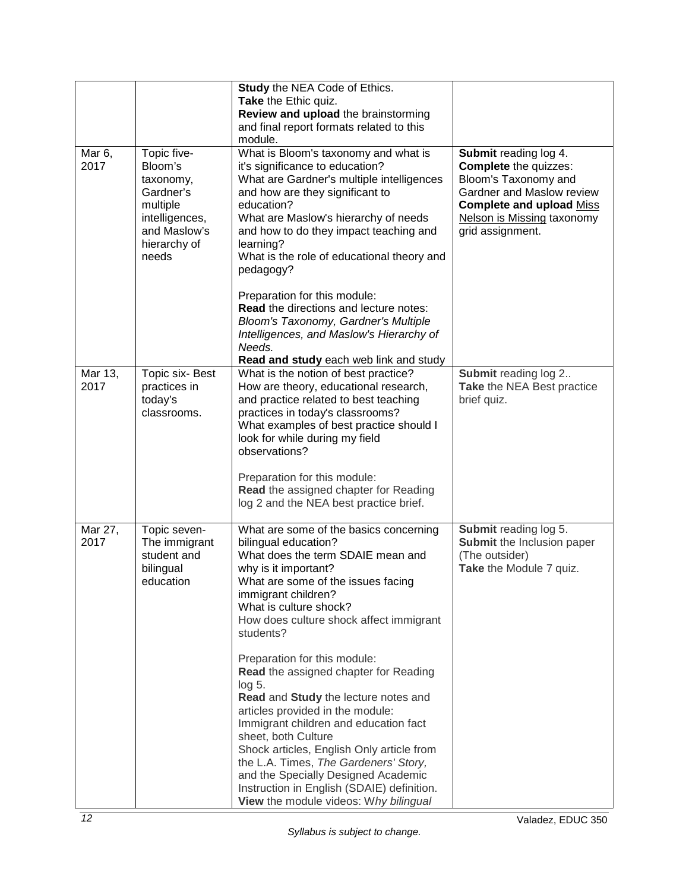|                            |                                                                                                                         | Study the NEA Code of Ethics.<br>Take the Ethic quiz.<br>Review and upload the brainstorming<br>and final report formats related to this<br>module.                                                                                                                                                                                                                                                                                                                                                                                                                                                                                                                                                                           |                                                                                                                                                                                                 |
|----------------------------|-------------------------------------------------------------------------------------------------------------------------|-------------------------------------------------------------------------------------------------------------------------------------------------------------------------------------------------------------------------------------------------------------------------------------------------------------------------------------------------------------------------------------------------------------------------------------------------------------------------------------------------------------------------------------------------------------------------------------------------------------------------------------------------------------------------------------------------------------------------------|-------------------------------------------------------------------------------------------------------------------------------------------------------------------------------------------------|
| Mar <sub>6</sub> ,<br>2017 | Topic five-<br>Bloom's<br>taxonomy,<br>Gardner's<br>multiple<br>intelligences,<br>and Maslow's<br>hierarchy of<br>needs | What is Bloom's taxonomy and what is<br>it's significance to education?<br>What are Gardner's multiple intelligences<br>and how are they significant to<br>education?<br>What are Maslow's hierarchy of needs<br>and how to do they impact teaching and<br>learning?<br>What is the role of educational theory and<br>pedagogy?<br>Preparation for this module:<br><b>Read the directions and lecture notes:</b><br>Bloom's Taxonomy, Gardner's Multiple<br>Intelligences, and Maslow's Hierarchy of<br>Needs.<br>Read and study each web link and study                                                                                                                                                                      | Submit reading log 4.<br><b>Complete</b> the quizzes:<br>Bloom's Taxonomy and<br>Gardner and Maslow review<br><b>Complete and upload Miss</b><br>Nelson is Missing taxonomy<br>grid assignment. |
| Mar 13,<br>2017            | Topic six-Best<br>practices in<br>today's<br>classrooms.                                                                | What is the notion of best practice?<br>How are theory, educational research,<br>and practice related to best teaching<br>practices in today's classrooms?<br>What examples of best practice should I<br>look for while during my field<br>observations?<br>Preparation for this module:<br>Read the assigned chapter for Reading<br>log 2 and the NEA best practice brief.                                                                                                                                                                                                                                                                                                                                                   | Submit reading log 2<br>Take the NEA Best practice<br>brief quiz.                                                                                                                               |
| Mar 27,<br>2017            | Topic seven-<br>The immigrant<br>student and<br>bilingual<br>education                                                  | What are some of the basics concerning<br>bilingual education?<br>What does the term SDAIE mean and<br>why is it important?<br>What are some of the issues facing<br>immigrant children?<br>What is culture shock?<br>How does culture shock affect immigrant<br>students?<br>Preparation for this module:<br>Read the assigned chapter for Reading<br>log 5.<br>Read and Study the lecture notes and<br>articles provided in the module:<br>Immigrant children and education fact<br>sheet, both Culture<br>Shock articles, English Only article from<br>the L.A. Times, The Gardeners' Story,<br>and the Specially Designed Academic<br>Instruction in English (SDAIE) definition.<br>View the module videos: Why bilingual | Submit reading log 5.<br>Submit the Inclusion paper<br>(The outsider)<br>Take the Module 7 quiz.                                                                                                |